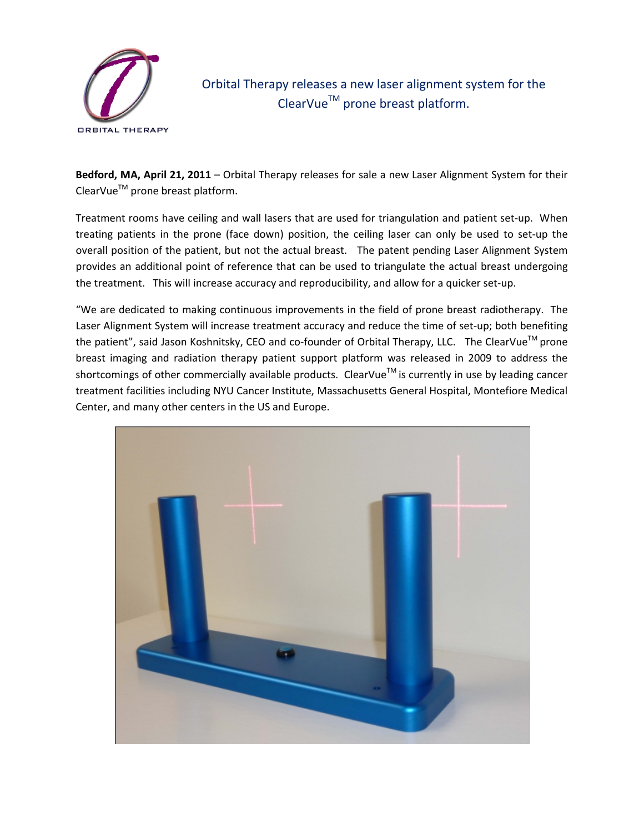

Orbital Therapy releases a new laser alignment system for the ClearVueTM prone breast platform.

**Bedford, MA, April 21, 2011** – Orbital Therapy releases for sale a new Laser Alignment System for their  $ClearVue^{TM}$  prone breast platform.

Treatment rooms have ceiling and wall lasers that are used for triangulation and patient set‐up. When treating patients in the prone (face down) position, the ceiling laser can only be used to set‐up the overall position of the patient, but not the actual breast. The patent pending Laser Alignment System provides an additional point of reference that can be used to triangulate the actual breast undergoing the treatment. This will increase accuracy and reproducibility, and allow for a quicker set‐up.

"We are dedicated to making continuous improvements in the field of prone breast radiotherapy. The Laser Alignment System will increase treatment accuracy and reduce the time of set-up; both benefiting the patient", said Jason Koshnitsky, CEO and co-founder of Orbital Therapy, LLC. The ClearVue<sup>™</sup> prone breast imaging and radiation therapy patient support platform was released in 2009 to address the shortcomings of other commercially available products. ClearVue™ is currently in use by leading cancer treatment facilities including NYU Cancer Institute, Massachusetts General Hospital, Montefiore Medical Center, and many other centers in the US and Europe.